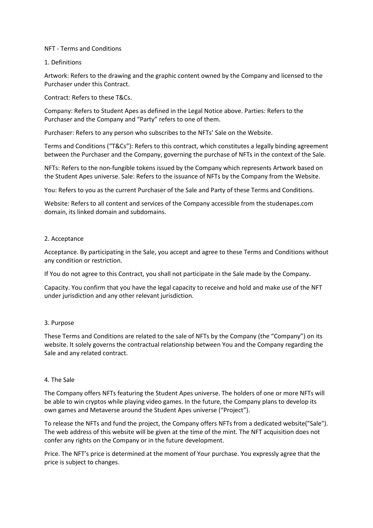## NFT - Terms and Conditions

### 1. Definitions

Artwork: Refers to the drawing and the graphic content owned by the Company and licensed to the Purchaser under this Contract.

### Contract: Refers to these T&Cs.

Company: Refers to Student Apes as defined in the Legal Notice above. Parties: Refers to the Purchaser and the Company and "Party" refers to one of them.

Purchaser: Refers to any person who subscribes to the NFTs' Sale on the Website.

Terms and Conditions ("T&Cs"): Refers to this contract, which constitutes a legally binding agreement between the Purchaser and the Company, governing the purchase of NFTs in the context of the Sale.

NFTs: Refers to the non-fungible tokens issued by the Company which represents Artwork based on the Student Apes universe. Sale: Refers to the issuance of NFTs by the Company from the Website.

You: Refers to you as the current Purchaser of the Sale and Party of these Terms and Conditions.

Website: Refers to all content and services of the Company accessible from the studenapes.com domain, its linked domain and subdomains.

### 2. Acceptance

Acceptance. By participating in the Sale, you accept and agree to these Terms and Conditions without any condition or restriction.

If You do not agree to this Contract, you shall not participate in the Sale made by the Company.

Capacity. You confirm that you have the legal capacity to receive and hold and make use of the NFT under jurisdiction and any other relevant jurisdiction.

## 3. Purpose

These Terms and Conditions are related to the sale of NFTs by the Company (the "Company") on its website. It solely governs the contractual relationship between You and the Company regarding the Sale and any related contract.

#### 4. The Sale

The Company offers NFTs featuring the Student Apes universe. The holders of one or more NFTs will be able to win cryptos while playing video games. In the future, the Company plans to develop its own games and Metaverse around the Student Apes universe ("Project").

To release the NFTs and fund the project, the Company offers NFTs from a dedicated website("Sale"). The web address of this website will be given at the time of the mint. The NFT acquisition does not confer any rights on the Company or in the future development.

Price. The NFT's price is determined at the moment of Your purchase. You expressly agree that the price is subject to changes.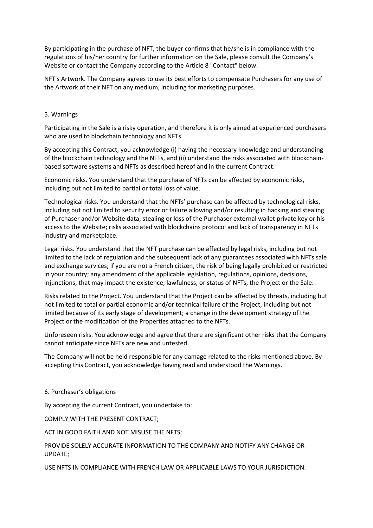By participating in the purchase of NFT, the buyer confirms that he/she is in compliance with the regulations of his/her country for further information on the Sale, please consult the Company's Website or contact the Company according to the Article 8 "Contact" below.

NFT's Artwork. The Company agrees to use its best efforts to compensate Purchasers for any use of the Artwork of their NFT on any medium, including for marketing purposes.

## 5. Warnings

Participating in the Sale is a risky operation, and therefore it is only aimed at experienced purchasers who are used to blockchain technology and NFTs.

By accepting this Contract, you acknowledge (i) having the necessary knowledge and understanding of the blockchain technology and the NFTs, and (ii) understand the risks associated with blockchainbased software systems and NFTs as described hereof and in the current Contract.

Economic risks. You understand that the purchase of NFTs can be affected by economic risks, including but not limited to partial or total loss of value.

Technological risks. You understand that the NFTs' purchase can be affected by technological risks, including but not limited to security error or failure allowing and/or resulting in hacking and stealing of Purchaser and/or Website data; stealing or loss of the Purchaser external wallet private key or his access to the Website; risks associated with blockchains protocol and lack of transparency in NFTs industry and marketplace.

Legal risks. You understand that the NFT purchase can be affected by legal risks, including but not limited to the lack of regulation and the subsequent lack of any guarantees associated with NFTs sale and exchange services; if you are not a French citizen, the risk of being legally prohibited or restricted in your country; any amendment of the applicable legislation, regulations, opinions, decisions, injunctions, that may impact the existence, lawfulness, or status of NFTs, the Project or the Sale.

Risks related to the Project. You understand that the Project can be affected by threats, including but not limited to total or partial economic and/or technical failure of the Project, including but not limited because of its early stage of development; a change in the development strategy of the Project or the modification of the Properties attached to the NFTs.

Unforeseen risks. You acknowledge and agree that there are significant other risks that the Company cannot anticipate since NFTs are new and untested.

The Company will not be held responsible for any damage related to the risks mentioned above. By accepting this Contract, you acknowledge having read and understood the Warnings.

6. Purchaser's obligations

By accepting the current Contract, you undertake to:

COMPLY WITH THE PRESENT CONTRACT;

ACT IN GOOD FAITH AND NOT MISUSE THE NFTS;

PROVIDE SOLELY ACCURATE INFORMATION TO THE COMPANY AND NOTIFY ANY CHANGE OR UPDATE;

USE NFTS IN COMPLIANCE WITH FRENCH LAW OR APPLICABLE LAWS TO YOUR JURISDICTION.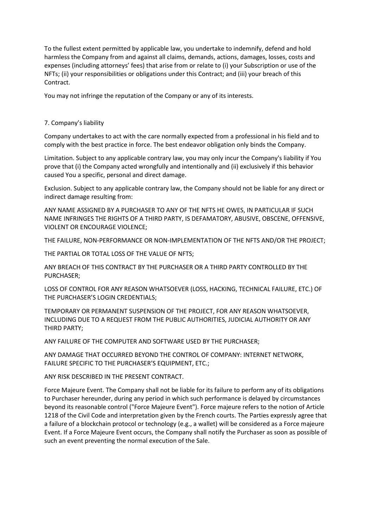To the fullest extent permitted by applicable law, you undertake to indemnify, defend and hold harmless the Company from and against all claims, demands, actions, damages, losses, costs and expenses (including attorneys' fees) that arise from or relate to (i) your Subscription or use of the NFTs; (ii) your responsibilities or obligations under this Contract; and (iii) your breach of this Contract.

You may not infringe the reputation of the Company or any of its interests.

# 7. Company's liability

Company undertakes to act with the care normally expected from a professional in his field and to comply with the best practice in force. The best endeavor obligation only binds the Company.

Limitation. Subject to any applicable contrary law, you may only incur the Company's liability if You prove that (i) the Company acted wrongfully and intentionally and (ii) exclusively if this behavior caused You a specific, personal and direct damage.

Exclusion. Subject to any applicable contrary law, the Company should not be liable for any direct or indirect damage resulting from:

ANY NAME ASSIGNED BY A PURCHASER TO ANY OF THE NFTS HE OWES, IN PARTICULAR IF SUCH NAME INFRINGES THE RIGHTS OF A THIRD PARTY, IS DEFAMATORY, ABUSIVE, OBSCENE, OFFENSIVE, VIOLENT OR ENCOURAGE VIOLENCE;

THE FAILURE, NON-PERFORMANCE OR NON-IMPLEMENTATION OF THE NFTS AND/OR THE PROJECT;

THE PARTIAL OR TOTAL LOSS OF THE VALUE OF NFTS;

ANY BREACH OF THIS CONTRACT BY THE PURCHASER OR A THIRD PARTY CONTROLLED BY THE PURCHASER;

LOSS OF CONTROL FOR ANY REASON WHATSOEVER (LOSS, HACKING, TECHNICAL FAILURE, ETC.) OF THE PURCHASER'S LOGIN CREDENTIALS;

TEMPORARY OR PERMANENT SUSPENSION OF THE PROJECT, FOR ANY REASON WHATSOEVER, INCLUDING DUE TO A REQUEST FROM THE PUBLIC AUTHORITIES, JUDICIAL AUTHORITY OR ANY THIRD PARTY;

ANY FAILURE OF THE COMPUTER AND SOFTWARE USED BY THE PURCHASER;

ANY DAMAGE THAT OCCURRED BEYOND THE CONTROL OF COMPANY: INTERNET NETWORK, FAILURE SPECIFIC TO THE PURCHASER'S EQUIPMENT, ETC.;

ANY RISK DESCRIBED IN THE PRESENT CONTRACT.

Force Majeure Event. The Company shall not be liable for its failure to perform any of its obligations to Purchaser hereunder, during any period in which such performance is delayed by circumstances beyond its reasonable control ("Force Majeure Event"). Force majeure refers to the notion of Article 1218 of the Civil Code and interpretation given by the French courts. The Parties expressly agree that a failure of a blockchain protocol or technology (e.g., a wallet) will be considered as a Force majeure Event. If a Force Majeure Event occurs, the Company shall notify the Purchaser as soon as possible of such an event preventing the normal execution of the Sale.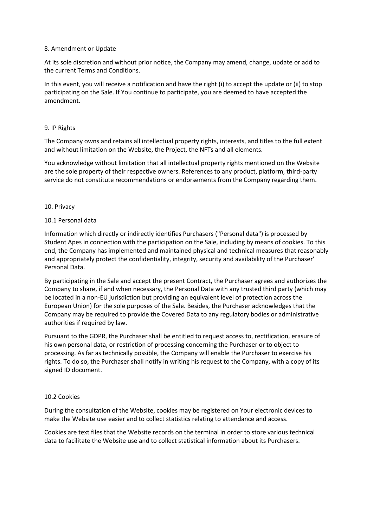## 8. Amendment or Update

At its sole discretion and without prior notice, the Company may amend, change, update or add to the current Terms and Conditions.

In this event, you will receive a notification and have the right (i) to accept the update or (ii) to stop participating on the Sale. If You continue to participate, you are deemed to have accepted the amendment.

### 9. IP Rights

The Company owns and retains all intellectual property rights, interests, and titles to the full extent and without limitation on the Website, the Project, the NFTs and all elements.

You acknowledge without limitation that all intellectual property rights mentioned on the Website are the sole property of their respective owners. References to any product, platform, third-party service do not constitute recommendations or endorsements from the Company regarding them.

### 10. Privacy

### 10.1 Personal data

Information which directly or indirectly identifies Purchasers ("Personal data") is processed by Student Apes in connection with the participation on the Sale, including by means of cookies. To this end, the Company has implemented and maintained physical and technical measures that reasonably and appropriately protect the confidentiality, integrity, security and availability of the Purchaser' Personal Data.

By participating in the Sale and accept the present Contract, the Purchaser agrees and authorizes the Company to share, if and when necessary, the Personal Data with any trusted third party (which may be located in a non-EU jurisdiction but providing an equivalent level of protection across the European Union) for the sole purposes of the Sale. Besides, the Purchaser acknowledges that the Company may be required to provide the Covered Data to any regulatory bodies or administrative authorities if required by law.

Pursuant to the GDPR, the Purchaser shall be entitled to request access to, rectification, erasure of his own personal data, or restriction of processing concerning the Purchaser or to object to processing. As far as technically possible, the Company will enable the Purchaser to exercise his rights. To do so, the Purchaser shall notify in writing his request to the Company, with a copy of its signed ID document.

## 10.2 Cookies

During the consultation of the Website, cookies may be registered on Your electronic devices to make the Website use easier and to collect statistics relating to attendance and access.

Cookies are text files that the Website records on the terminal in order to store various technical data to facilitate the Website use and to collect statistical information about its Purchasers.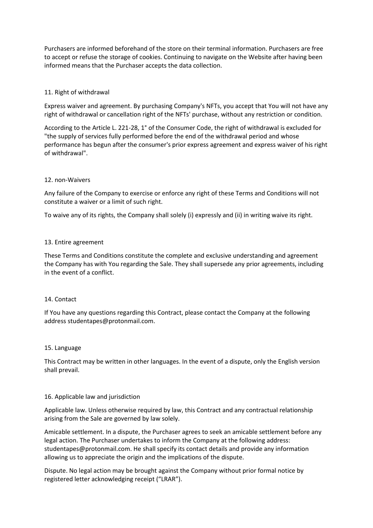Purchasers are informed beforehand of the store on their terminal information. Purchasers are free to accept or refuse the storage of cookies. Continuing to navigate on the Website after having been informed means that the Purchaser accepts the data collection.

## 11. Right of withdrawal

Express waiver and agreement. By purchasing Company's NFTs, you accept that You will not have any right of withdrawal or cancellation right of the NFTs' purchase, without any restriction or condition.

According to the Article L. 221-28, 1° of the Consumer Code, the right of withdrawal is excluded for "the supply of services fully performed before the end of the withdrawal period and whose performance has begun after the consumer's prior express agreement and express waiver of his right of withdrawal".

## 12. non-Waivers

Any failure of the Company to exercise or enforce any right of these Terms and Conditions will not constitute a waiver or a limit of such right.

To waive any of its rights, the Company shall solely (i) expressly and (ii) in writing waive its right.

## 13. Entire agreement

These Terms and Conditions constitute the complete and exclusive understanding and agreement the Company has with You regarding the Sale. They shall supersede any prior agreements, including in the event of a conflict.

## 14. Contact

If You have any questions regarding this Contract, please contact the Company at the following address studentapes@protonmail.com.

## 15. Language

This Contract may be written in other languages. In the event of a dispute, only the English version shall prevail.

## 16. Applicable law and jurisdiction

Applicable law. Unless otherwise required by law, this Contract and any contractual relationship arising from the Sale are governed by law solely.

Amicable settlement. In a dispute, the Purchaser agrees to seek an amicable settlement before any legal action. The Purchaser undertakes to inform the Company at the following address: studentapes@protonmail.com. He shall specify its contact details and provide any information allowing us to appreciate the origin and the implications of the dispute.

Dispute. No legal action may be brought against the Company without prior formal notice by registered letter acknowledging receipt ("LRAR").